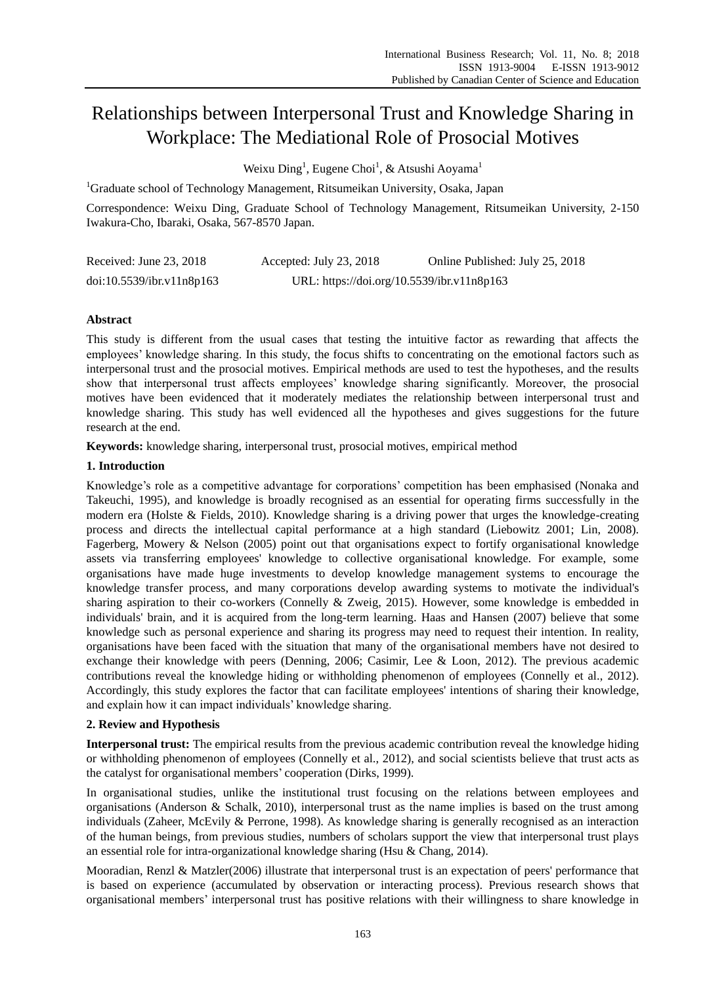# Relationships between Interpersonal Trust and Knowledge Sharing in Workplace: The Mediational Role of Prosocial Motives

Weixu Ding<sup>1</sup>, Eugene Choi<sup>1</sup>, & Atsushi Aoyama<sup>1</sup>

<sup>1</sup>Graduate school of Technology Management, Ritsumeikan University, Osaka, Japan

Correspondence: Weixu Ding, Graduate School of Technology Management, Ritsumeikan University, 2-150 Iwakura-Cho, Ibaraki, Osaka, 567-8570 Japan.

| Received: June 23, 2018   | Accepted: July 23, 2018                    | Online Published: July 25, 2018 |
|---------------------------|--------------------------------------------|---------------------------------|
| doi:10.5539/ibr.v11n8p163 | URL: https://doi.org/10.5539/ibr.v11n8p163 |                                 |

## **Abstract**

This study is different from the usual cases that testing the intuitive factor as rewarding that affects the employees' knowledge sharing. In this study, the focus shifts to concentrating on the emotional factors such as interpersonal trust and the prosocial motives. Empirical methods are used to test the hypotheses, and the results show that interpersonal trust affects employees' knowledge sharing significantly. Moreover, the prosocial motives have been evidenced that it moderately mediates the relationship between interpersonal trust and knowledge sharing. This study has well evidenced all the hypotheses and gives suggestions for the future research at the end.

**Keywords:** knowledge sharing, interpersonal trust, prosocial motives, empirical method

#### **1. Introduction**

Knowledge's role as a competitive advantage for corporations' competition has been emphasised (Nonaka and Takeuchi, 1995), and knowledge is broadly recognised as an essential for operating firms successfully in the modern era (Holste & Fields, 2010). Knowledge sharing is a driving power that urges the knowledge-creating process and directs the intellectual capital performance at a high standard (Liebowitz 2001; Lin, 2008). Fagerberg, Mowery & Nelson (2005) point out that organisations expect to fortify organisational knowledge assets via transferring employees' knowledge to collective organisational knowledge. For example, some organisations have made huge investments to develop knowledge management systems to encourage the knowledge transfer process, and many corporations develop awarding systems to motivate the individual's sharing aspiration to their co-workers (Connelly & Zweig, 2015). However, some knowledge is embedded in individuals' brain, and it is acquired from the long-term learning. Haas and Hansen (2007) believe that some knowledge such as personal experience and sharing its progress may need to request their intention. In reality, organisations have been faced with the situation that many of the organisational members have not desired to exchange their knowledge with peers (Denning, 2006; Casimir, Lee & Loon, 2012). The previous academic contributions reveal the knowledge hiding or withholding phenomenon of employees (Connelly et al., 2012). Accordingly, this study explores the factor that can facilitate employees' intentions of sharing their knowledge, and explain how it can impact individuals' knowledge sharing.

## **2. Review and Hypothesis**

**Interpersonal trust:** The empirical results from the previous academic contribution reveal the knowledge hiding or withholding phenomenon of employees (Connelly et al., 2012), and social scientists believe that trust acts as the catalyst for organisational members' cooperation (Dirks, 1999).

In organisational studies, unlike the institutional trust focusing on the relations between employees and organisations (Anderson & Schalk, 2010), interpersonal trust as the name implies is based on the trust among individuals (Zaheer, McEvily & Perrone, 1998). As knowledge sharing is generally recognised as an interaction of the human beings, from previous studies, numbers of scholars support the view that interpersonal trust plays an essential role for intra-organizational knowledge sharing (Hsu & Chang, 2014).

Mooradian, Renzl & Matzler(2006) illustrate that interpersonal trust is an expectation of peers' performance that is based on experience (accumulated by observation or interacting process). Previous research shows that organisational members' interpersonal trust has positive relations with their willingness to share knowledge in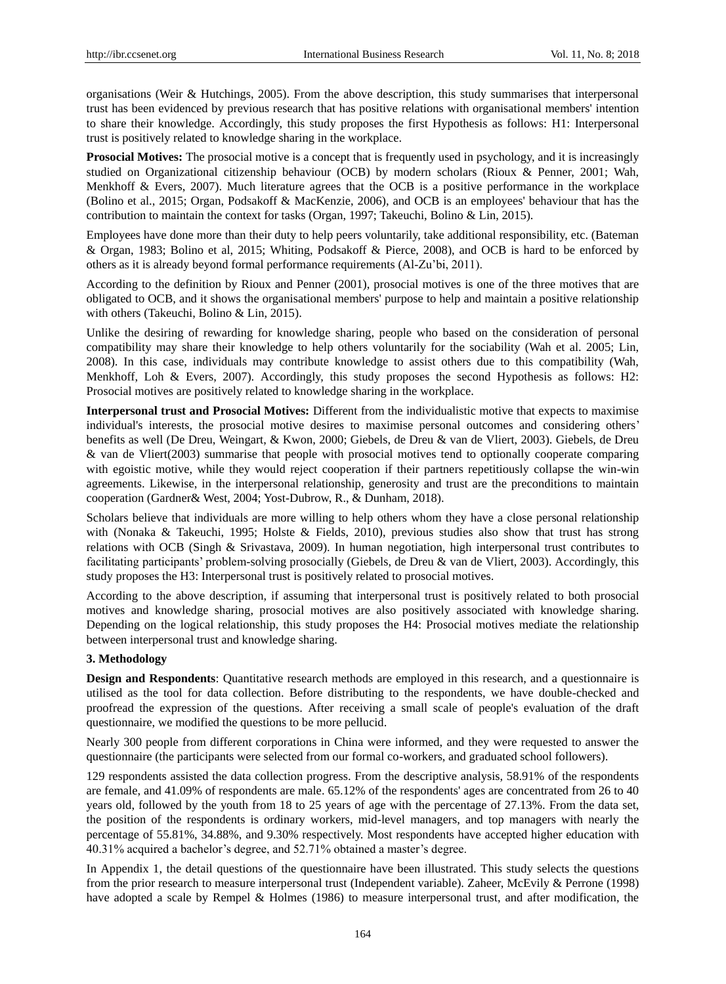organisations (Weir & Hutchings, 2005). From the above description, this study summarises that interpersonal trust has been evidenced by previous research that has positive relations with organisational members' intention to share their knowledge. Accordingly, this study proposes the first Hypothesis as follows: H1: Interpersonal trust is positively related to knowledge sharing in the workplace.

**Prosocial Motives:** The prosocial motive is a concept that is frequently used in psychology, and it is increasingly studied on Organizational citizenship behaviour (OCB) by modern scholars (Rioux & Penner, 2001; Wah, Menkhoff & Evers, 2007). Much literature agrees that the OCB is a positive performance in the workplace (Bolino et al., 2015; Organ, Podsakoff & MacKenzie, 2006), and OCB is an employees' behaviour that has the contribution to maintain the context for tasks (Organ, 1997; Takeuchi, Bolino & Lin, 2015).

Employees have done more than their duty to help peers voluntarily, take additional responsibility, etc. (Bateman & Organ, 1983; Bolino et al, 2015; Whiting, Podsakoff & Pierce, 2008), and OCB is hard to be enforced by others as it is already beyond formal performance requirements (Al-Zu'bi, 2011).

According to the definition by Rioux and Penner (2001), prosocial motives is one of the three motives that are obligated to OCB, and it shows the organisational members' purpose to help and maintain a positive relationship with others (Takeuchi, Bolino & Lin, 2015).

Unlike the desiring of rewarding for knowledge sharing, people who based on the consideration of personal compatibility may share their knowledge to help others voluntarily for the sociability (Wah et al. 2005; Lin, 2008). In this case, individuals may contribute knowledge to assist others due to this compatibility (Wah, Menkhoff, Loh & Evers, 2007). Accordingly, this study proposes the second Hypothesis as follows: H2: Prosocial motives are positively related to knowledge sharing in the workplace.

**Interpersonal trust and Prosocial Motives:** Different from the individualistic motive that expects to maximise individual's interests, the prosocial motive desires to maximise personal outcomes and considering others' benefits as well (De Dreu, Weingart, & Kwon, 2000; Giebels, de Dreu & van de Vliert, 2003). Giebels, de Dreu & van de Vliert(2003) summarise that people with prosocial motives tend to optionally cooperate comparing with egoistic motive, while they would reject cooperation if their partners repetitiously collapse the win-win agreements. Likewise, in the interpersonal relationship, generosity and trust are the preconditions to maintain cooperation (Gardner& West, 2004; Yost-Dubrow, R., & Dunham, 2018).

Scholars believe that individuals are more willing to help others whom they have a close personal relationship with (Nonaka & Takeuchi, 1995; Holste & Fields, 2010), previous studies also show that trust has strong relations with OCB (Singh & Srivastava, 2009). In human negotiation, high interpersonal trust contributes to facilitating participants' problem-solving prosocially (Giebels, de Dreu & van de Vliert, 2003). Accordingly, this study proposes the H3: Interpersonal trust is positively related to prosocial motives.

According to the above description, if assuming that interpersonal trust is positively related to both prosocial motives and knowledge sharing, prosocial motives are also positively associated with knowledge sharing. Depending on the logical relationship, this study proposes the H4: Prosocial motives mediate the relationship between interpersonal trust and knowledge sharing.

#### **3. Methodology**

**Design and Respondents**: Quantitative research methods are employed in this research, and a questionnaire is utilised as the tool for data collection. Before distributing to the respondents, we have double-checked and proofread the expression of the questions. After receiving a small scale of people's evaluation of the draft questionnaire, we modified the questions to be more pellucid.

Nearly 300 people from different corporations in China were informed, and they were requested to answer the questionnaire (the participants were selected from our formal co-workers, and graduated school followers).

129 respondents assisted the data collection progress. From the descriptive analysis, 58.91% of the respondents are female, and 41.09% of respondents are male. 65.12% of the respondents' ages are concentrated from 26 to 40 years old, followed by the youth from 18 to 25 years of age with the percentage of 27.13%. From the data set, the position of the respondents is ordinary workers, mid-level managers, and top managers with nearly the percentage of 55.81%, 34.88%, and 9.30% respectively. Most respondents have accepted higher education with 40.31% acquired a bachelor's degree, and 52.71% obtained a master's degree.

In Appendix 1, the detail questions of the questionnaire have been illustrated. This study selects the questions from the prior research to measure interpersonal trust (Independent variable). Zaheer, McEvily & Perrone (1998) have adopted a scale by Rempel & Holmes (1986) to measure interpersonal trust, and after modification, the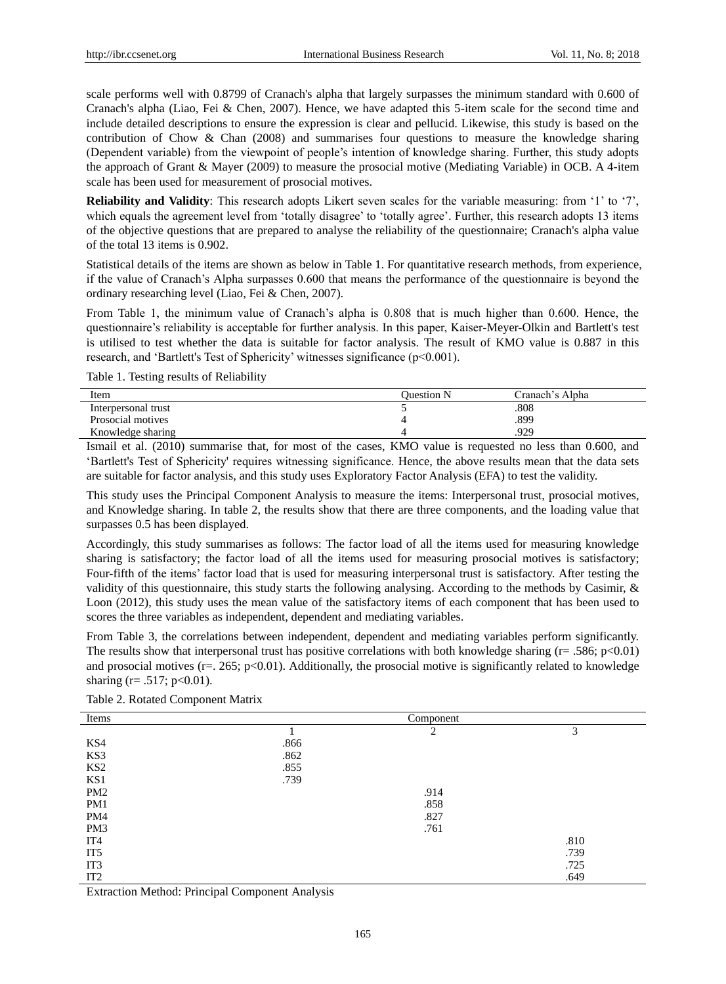scale performs well with 0.8799 of Cranach's alpha that largely surpasses the minimum standard with 0.600 of Cranach's alpha (Liao, Fei & Chen, 2007). Hence, we have adapted this 5-item scale for the second time and include detailed descriptions to ensure the expression is clear and pellucid. Likewise, this study is based on the contribution of Chow & Chan  $(2008)$  and summarises four questions to measure the knowledge sharing (Dependent variable) from the viewpoint of people's intention of knowledge sharing. Further, this study adopts the approach of Grant & Mayer (2009) to measure the prosocial motive (Mediating Variable) in OCB. A 4-item scale has been used for measurement of prosocial motives.

**Reliability and Validity**: This research adopts Likert seven scales for the variable measuring: from '1' to '7', which equals the agreement level from 'totally disagree' to 'totally agree'. Further, this research adopts 13 items of the objective questions that are prepared to analyse the reliability of the questionnaire; Cranach's alpha value of the total 13 items is 0.902.

Statistical details of the items are shown as below in Table 1. For quantitative research methods, from experience, if the value of Cranach's Alpha surpasses 0.600 that means the performance of the questionnaire is beyond the ordinary researching level (Liao, Fei & Chen, 2007).

From Table 1, the minimum value of Cranach's alpha is 0.808 that is much higher than 0.600. Hence, the questionnaire's reliability is acceptable for further analysis. In this paper, Kaiser-Meyer-Olkin and Bartlett's test is utilised to test whether the data is suitable for factor analysis. The result of KMO value is 0.887 in this research, and 'Bartlett's Test of Sphericity' witnesses significance (p<0.001).

Table 1. Testing results of Reliability

| Item                | <b>Duestion N</b> | Cranach's Alpha |
|---------------------|-------------------|-----------------|
| Interpersonal trust |                   | .808            |
| Prosocial motives   |                   | .899            |
| Knowledge sharing   |                   | .929            |

Ismail et al. (2010) summarise that, for most of the cases, KMO value is requested no less than 0.600, and 'Bartlett's Test of Sphericity' requires witnessing significance. Hence, the above results mean that the data sets are suitable for factor analysis, and this study uses Exploratory Factor Analysis (EFA) to test the validity.

This study uses the Principal Component Analysis to measure the items: Interpersonal trust, prosocial motives, and Knowledge sharing. In table 2, the results show that there are three components, and the loading value that surpasses 0.5 has been displayed.

Accordingly, this study summarises as follows: The factor load of all the items used for measuring knowledge sharing is satisfactory; the factor load of all the items used for measuring prosocial motives is satisfactory; Four-fifth of the items' factor load that is used for measuring interpersonal trust is satisfactory. After testing the validity of this questionnaire, this study starts the following analysing. According to the methods by Casimir, & Loon (2012), this study uses the mean value of the satisfactory items of each component that has been used to scores the three variables as independent, dependent and mediating variables.

From Table 3, the correlations between independent, dependent and mediating variables perform significantly. The results show that interpersonal trust has positive correlations with both knowledge sharing (r= .586; p<0.01) and prosocial motives ( $r=$ , 265;  $p<0.01$ ). Additionally, the prosocial motive is significantly related to knowledge sharing (r= .517; p<0.01).

| Items           |      | Component      |      |  |
|-----------------|------|----------------|------|--|
|                 |      | $\overline{2}$ | 3    |  |
| KS4             | .866 |                |      |  |
| KS3             | .862 |                |      |  |
| KS <sub>2</sub> | .855 |                |      |  |
| KS1             | .739 |                |      |  |
| PM <sub>2</sub> |      | .914           |      |  |
| PM1             |      | .858           |      |  |
| PM4             |      | .827           |      |  |
| PM <sub>3</sub> |      | .761           |      |  |
| IT4             |      |                | .810 |  |
| IT <sub>5</sub> |      |                | .739 |  |
| IT3             |      |                | .725 |  |
| IT <sub>2</sub> |      |                | .649 |  |

Table 2. Rotated Component Matrix

Extraction Method: Principal Component Analysis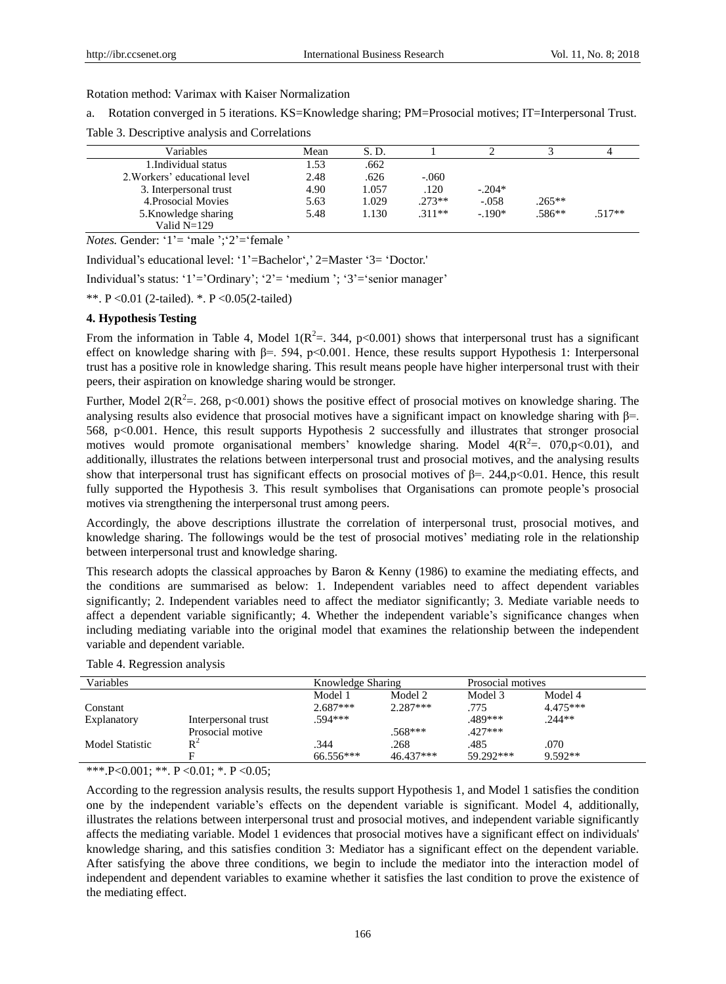Rotation method: Varimax with Kaiser Normalization

|  |  | a. Rotation converged in 5 iterations. KS=Knowledge sharing; PM=Prosocial motives; IT=Interpersonal Trust. |  |
|--|--|------------------------------------------------------------------------------------------------------------|--|
|--|--|------------------------------------------------------------------------------------------------------------|--|

Table 3. Descriptive analysis and Correlations

| Variables                     | Mean | S. D. |          |          |          |         |
|-------------------------------|------|-------|----------|----------|----------|---------|
| 1. Individual status          | 1.53 | .662  |          |          |          |         |
| 2. Workers' educational level | 2.48 | .626  | $-.060$  |          |          |         |
| 3. Interpersonal trust        | 4.90 | 1.057 | .120     | $-.204*$ |          |         |
| 4. Prosocial Movies           | 5.63 | 1.029 | $.273**$ | $-.058$  | $.265**$ |         |
| 5. Knowledge sharing          | 5.48 | 1.130 | $.311**$ | $-.190*$ | .586**   | $517**$ |
| Valid $N=129$                 |      |       |          |          |          |         |
|                               |      |       |          |          |          |         |

*Notes.* Gender: ' $1'$  = 'male ':' $2'$  = 'female'

Individual's educational level: '1'=Bachelor',' 2=Master '3= 'Doctor.'

Individual's status: '1'='Ordinary'; '2'= 'medium '; '3'='senior manager'

\*\*. P <0.01 (2-tailed). \*. P <0.05(2-tailed)

#### **4. Hypothesis Testing**

From the information in Table 4, Model  $1(R^2=344, p<0.001)$  shows that interpersonal trust has a significant effect on knowledge sharing with β=. 594, p<0.001. Hence, these results support Hypothesis 1: Interpersonal trust has a positive role in knowledge sharing. This result means people have higher interpersonal trust with their peers, their aspiration on knowledge sharing would be stronger.

Further, Model  $2(R^2=.268, p<0.001)$  shows the positive effect of prosocial motives on knowledge sharing. The analysing results also evidence that prosocial motives have a significant impact on knowledge sharing with β=. 568, p<0.001. Hence, this result supports Hypothesis 2 successfully and illustrates that stronger prosocial motives would promote organisational members' knowledge sharing. Model  $4(R^2=070, p<0.01)$ , and additionally, illustrates the relations between interpersonal trust and prosocial motives, and the analysing results show that interpersonal trust has significant effects on prosocial motives of β=. 244,p<0.01. Hence, this result fully supported the Hypothesis 3. This result symbolises that Organisations can promote people's prosocial motives via strengthening the interpersonal trust among peers.

Accordingly, the above descriptions illustrate the correlation of interpersonal trust, prosocial motives, and knowledge sharing. The followings would be the test of prosocial motives' mediating role in the relationship between interpersonal trust and knowledge sharing.

This research adopts the classical approaches by Baron & Kenny (1986) to examine the mediating effects, and the conditions are summarised as below: 1. Independent variables need to affect dependent variables significantly; 2. Independent variables need to affect the mediator significantly; 3. Mediate variable needs to affect a dependent variable significantly; 4. Whether the independent variable's significance changes when including mediating variable into the original model that examines the relationship between the independent variable and dependent variable.

| <b>Variables</b> |                     | Knowledge Sharing |             | Prosocial motives |            |
|------------------|---------------------|-------------------|-------------|-------------------|------------|
|                  |                     | Model 1           | Model 2     | Model 3           | Model 4    |
| Constant         |                     | $2.687***$        | $2.287***$  | .775              | $4.475***$ |
| Explanatory      | Interpersonal trust | .594***           |             | .489***           | $.244**$   |
|                  | Prosocial motive    |                   | .568***     | $.427***$         |            |
| Model Statistic  | $R^2$               | .344              | .268        | .485              | .070       |
|                  |                     | 66.556***         | $46.437***$ | 59.292***         | $9.592**$  |

Table 4. Regression analysis

\*\*\*.P<0.001; \*\*. P < 0.01; \*. P < 0.05;

According to the regression analysis results, the results support Hypothesis 1, and Model 1 satisfies the condition one by the independent variable's effects on the dependent variable is significant. Model 4, additionally, illustrates the relations between interpersonal trust and prosocial motives, and independent variable significantly affects the mediating variable. Model 1 evidences that prosocial motives have a significant effect on individuals' knowledge sharing, and this satisfies condition 3: Mediator has a significant effect on the dependent variable. After satisfying the above three conditions, we begin to include the mediator into the interaction model of independent and dependent variables to examine whether it satisfies the last condition to prove the existence of the mediating effect.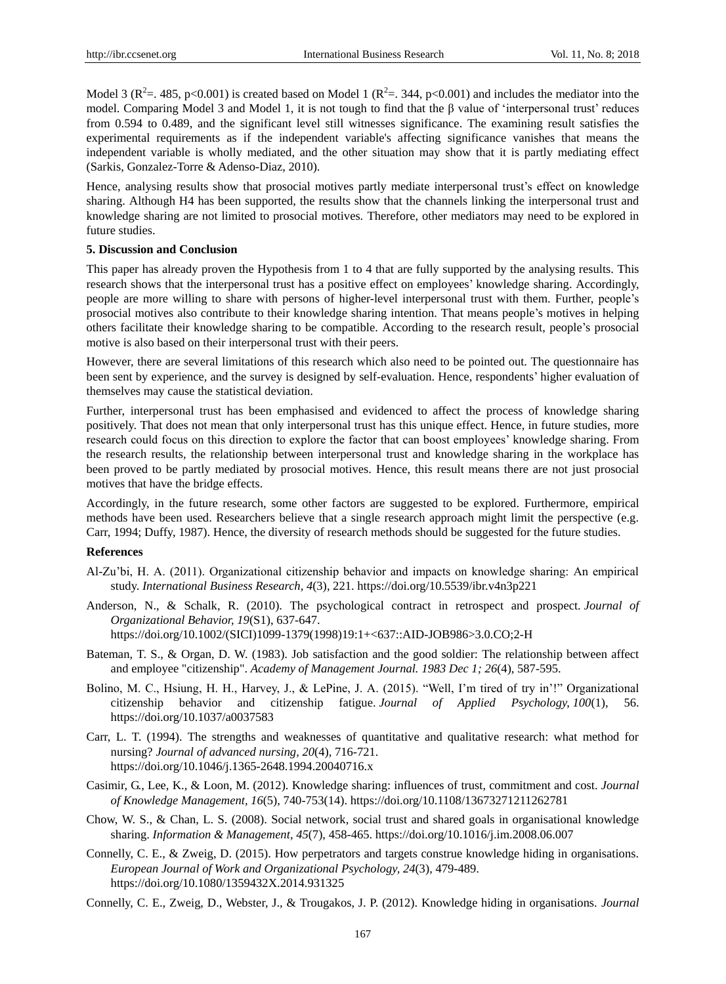Model 3 ( $\mathbb{R}^2$  = 485, p<0.001) is created based on Model 1 ( $\mathbb{R}^2$  = 344, p<0.001) and includes the mediator into the model. Comparing Model 3 and Model 1, it is not tough to find that the β value of 'interpersonal trust' reduces from 0.594 to 0.489, and the significant level still witnesses significance. The examining result satisfies the experimental requirements as if the independent variable's affecting significance vanishes that means the independent variable is wholly mediated, and the other situation may show that it is partly mediating effect (Sarkis, Gonzalez-Torre & Adenso-Diaz, 2010).

Hence, analysing results show that prosocial motives partly mediate interpersonal trust's effect on knowledge sharing. Although H4 has been supported, the results show that the channels linking the interpersonal trust and knowledge sharing are not limited to prosocial motives. Therefore, other mediators may need to be explored in future studies.

#### **5. Discussion and Conclusion**

This paper has already proven the Hypothesis from 1 to 4 that are fully supported by the analysing results. This research shows that the interpersonal trust has a positive effect on employees' knowledge sharing. Accordingly, people are more willing to share with persons of higher-level interpersonal trust with them. Further, people's prosocial motives also contribute to their knowledge sharing intention. That means people's motives in helping others facilitate their knowledge sharing to be compatible. According to the research result, people's prosocial motive is also based on their interpersonal trust with their peers.

However, there are several limitations of this research which also need to be pointed out. The questionnaire has been sent by experience, and the survey is designed by self-evaluation. Hence, respondents' higher evaluation of themselves may cause the statistical deviation.

Further, interpersonal trust has been emphasised and evidenced to affect the process of knowledge sharing positively. That does not mean that only interpersonal trust has this unique effect. Hence, in future studies, more research could focus on this direction to explore the factor that can boost employees' knowledge sharing. From the research results, the relationship between interpersonal trust and knowledge sharing in the workplace has been proved to be partly mediated by prosocial motives. Hence, this result means there are not just prosocial motives that have the bridge effects.

Accordingly, in the future research, some other factors are suggested to be explored. Furthermore, empirical methods have been used. Researchers believe that a single research approach might limit the perspective (e.g. Carr, 1994; Duffy, 1987). Hence, the diversity of research methods should be suggested for the future studies.

#### **References**

- Al-Zu'bi, H. A. (2011). Organizational citizenship behavior and impacts on knowledge sharing: An empirical study. *International Business Research, 4*(3), 221. https://doi.org/10.5539/ibr.v4n3p221
- Anderson, N., & Schalk, R. (2010). The psychological contract in retrospect and prospect. *Journal of Organizational Behavior, 19*(S1), 637-647.
	- https://doi.org/10.1002/(SICI)1099-1379(1998)19:1+<637::AID-JOB986>3.0.CO;2-H
- Bateman, T. S., & Organ, D. W. (1983). Job satisfaction and the good soldier: The relationship between affect and employee "citizenship". *Academy of Management Journal. 1983 Dec 1; 26*(4), 587-595.
- Bolino, M. C., Hsiung, H. H., Harvey, J., & LePine, J. A. (2015). "Well, I'm tired of try in'!" Organizational citizenship behavior and citizenship fatigue. *Journal of Applied Psychology, 100*(1), 56. https://doi.org/10.1037/a0037583
- Carr, L. T. (1994). The strengths and weaknesses of quantitative and qualitative research: what method for nursing? *Journal of advanced nursing, 20*(4), 716-721. https://doi.org/10.1046/j.1365-2648.1994.20040716.x
- Casimir, G., Lee, K., & Loon, M. (2012). Knowledge sharing: influences of trust, commitment and cost. *Journal of Knowledge Management, 16*(5), 740-753(14). https://doi.org/10.1108/13673271211262781
- Chow, W. S., & Chan, L. S. (2008). Social network, social trust and shared goals in organisational knowledge sharing. *Information & Management, 45*(7), 458-465. https://doi.org/10.1016/j.im.2008.06.007
- Connelly, C. E., & Zweig, D. (2015). How perpetrators and targets construe knowledge hiding in organisations. *European Journal of Work and Organizational Psychology, 24*(3), 479-489. https://doi.org/10.1080/1359432X.2014.931325
- Connelly, C. E., Zweig, D., Webster, J., & Trougakos, J. P. (2012). Knowledge hiding in organisations. *Journal*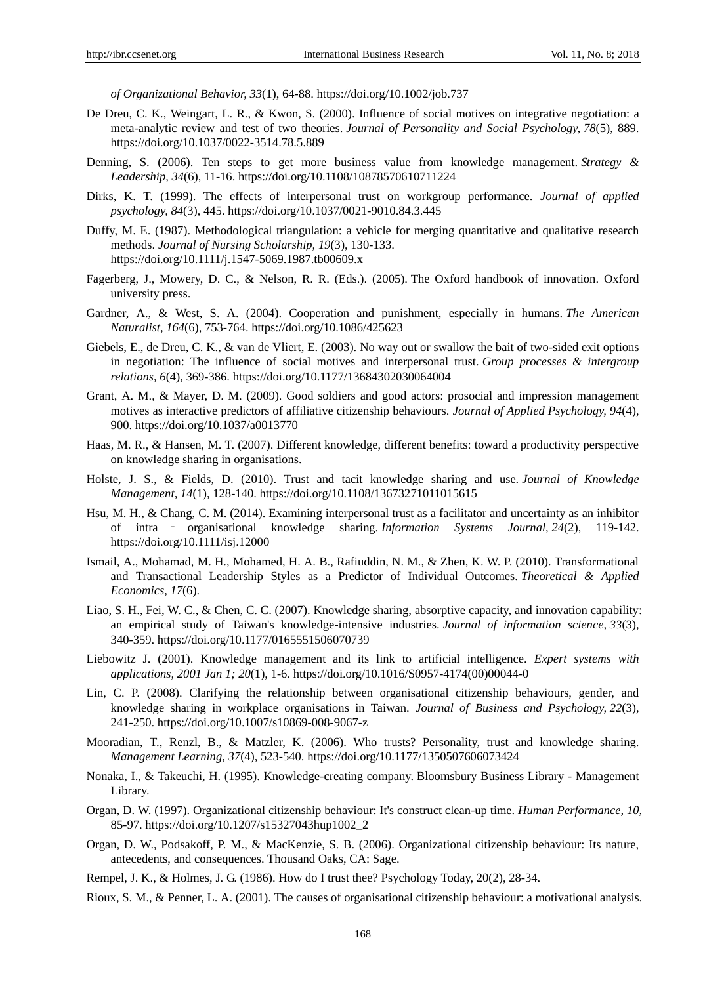*of Organizational Behavior, 33*(1), 64-88. https://doi.org/10.1002/job.737

- De Dreu, C. K., Weingart, L. R., & Kwon, S. (2000). Influence of social motives on integrative negotiation: a meta-analytic review and test of two theories. *Journal of Personality and Social Psychology, 78*(5), 889. https://doi.org/10.1037/0022-3514.78.5.889
- Denning, S. (2006). Ten steps to get more business value from knowledge management*. Strategy & Leadership, 34*(6), 11-16. https://doi.org/10.1108/10878570610711224
- Dirks, K. T. (1999). The effects of interpersonal trust on workgroup performance. *Journal of applied psychology, 84*(3), 445. https://doi.org/10.1037/0021-9010.84.3.445
- Duffy, M. E. (1987). Methodological triangulation: a vehicle for merging quantitative and qualitative research methods. *Journal of Nursing Scholarship, 19*(3), 130-133. https://doi.org/10.1111/j.1547-5069.1987.tb00609.x
- Fagerberg, J., Mowery, D. C., & Nelson, R. R. (Eds.). (2005). The Oxford handbook of innovation. Oxford university press.
- Gardner, A., & West, S. A. (2004). Cooperation and punishment, especially in humans. *The American Naturalist, 164*(6), 753-764. https://doi.org/10.1086/425623
- Giebels, E., de Dreu, C. K., & van de Vliert, E. (2003). No way out or swallow the bait of two-sided exit options in negotiation: The influence of social motives and interpersonal trust. *Group processes & intergroup relations, 6*(4), 369-386. https://doi.org/10.1177/13684302030064004
- Grant, A. M., & Mayer, D. M. (2009). Good soldiers and good actors: prosocial and impression management motives as interactive predictors of affiliative citizenship behaviours. *Journal of Applied Psychology, 94*(4), 900. https://doi.org/10.1037/a0013770
- Haas, M. R., & Hansen, M. T. (2007). Different knowledge, different benefits: toward a productivity perspective on knowledge sharing in organisations.
- Holste, J. S., & Fields, D. (2010). Trust and tacit knowledge sharing and use. *Journal of Knowledge Management, 14*(1), 128-140. https://doi.org/10.1108/13673271011015615
- Hsu, M. H., & Chang, C. M. (2014). Examining interpersonal trust as a facilitator and uncertainty as an inhibitor of intra ‐ organisational knowledge sharing. *Information Systems Journal, 24*(2), 119-142. https://doi.org/10.1111/isj.12000
- Ismail, A., Mohamad, M. H., Mohamed, H. A. B., Rafiuddin, N. M., & Zhen, K. W. P. (2010). Transformational and Transactional Leadership Styles as a Predictor of Individual Outcomes. *Theoretical & Applied Economics, 17*(6).
- Liao, S. H., Fei, W. C., & Chen, C. C. (2007). Knowledge sharing, absorptive capacity, and innovation capability: an empirical study of Taiwan's knowledge-intensive industries. *Journal of information science, 33*(3), 340-359. https://doi.org/10.1177/0165551506070739
- Liebowitz J. (2001). Knowledge management and its link to artificial intelligence. *Expert systems with applications, 2001 Jan 1; 20*(1), 1-6. https://doi.org/10.1016/S0957-4174(00)00044-0
- Lin, C. P. (2008). Clarifying the relationship between organisational citizenship behaviours, gender, and knowledge sharing in workplace organisations in Taiwan. *Journal of Business and Psychology, 22*(3), 241-250. https://doi.org/10.1007/s10869-008-9067-z
- Mooradian, T., Renzl, B., & Matzler, K. (2006). Who trusts? Personality, trust and knowledge sharing. *Management Learning, 37*(4), 523-540. https://doi.org/10.1177/1350507606073424
- Nonaka, I., & Takeuchi, H. (1995). Knowledge-creating company. Bloomsbury Business Library Management Library.
- Organ, D. W. (1997). Organizational citizenship behaviour: It's construct clean-up time. *Human Performance, 10,*  85-97. https://doi.org/10.1207/s15327043hup1002\_2
- Organ, D. W., Podsakoff, P. M., & MacKenzie, S. B. (2006). Organizational citizenship behaviour: Its nature, antecedents, and consequences. Thousand Oaks, CA: Sage.
- Rempel, J. K., & Holmes, J. G. (1986). How do I trust thee? Psychology Today, 20(2), 28-34.
- Rioux, S. M., & Penner, L. A. (2001). The causes of organisational citizenship behaviour: a motivational analysis.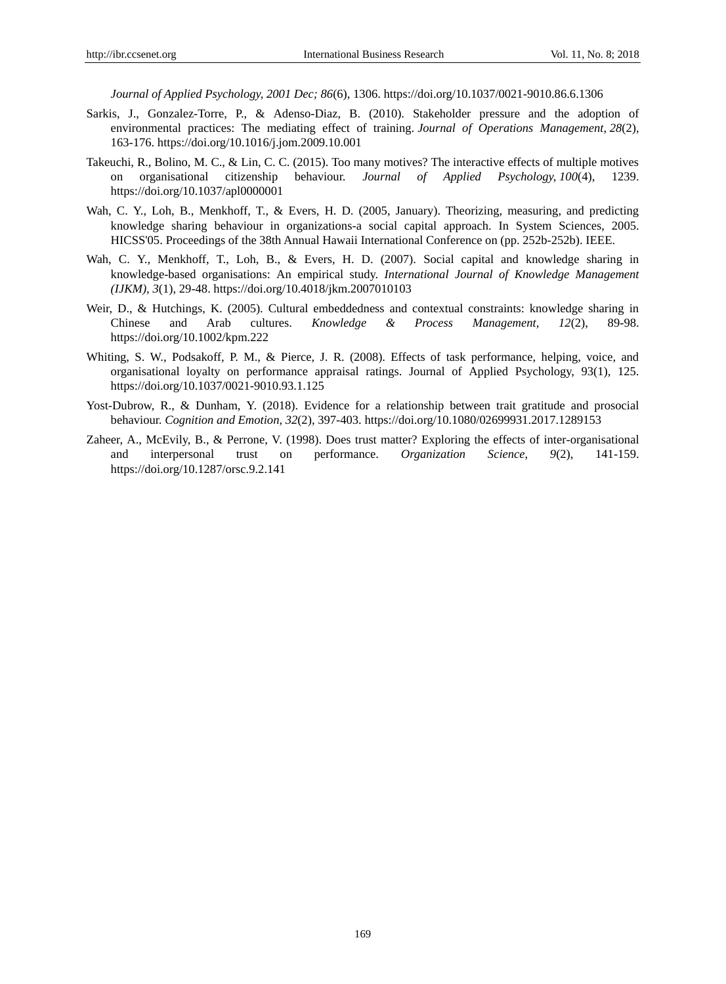*Journal of Applied Psychology, 2001 Dec; 86*(6), 1306. https://doi.org/10.1037/0021-9010.86.6.1306

- Sarkis, J., Gonzalez-Torre, P., & Adenso-Diaz, B. (2010). Stakeholder pressure and the adoption of environmental practices: The mediating effect of training. *Journal of Operations Management, 28*(2), 163-176. https://doi.org/10.1016/j.jom.2009.10.001
- Takeuchi, R., Bolino, M. C., & Lin, C. C. (2015). Too many motives? The interactive effects of multiple motives on organisational citizenship behaviour. *Journal of Applied Psychology, 100*(4), 1239. https://doi.org/10.1037/apl0000001
- Wah, C. Y., Loh, B., Menkhoff, T., & Evers, H. D. (2005, January). Theorizing, measuring, and predicting knowledge sharing behaviour in organizations-a social capital approach. In System Sciences, 2005. HICSS'05. Proceedings of the 38th Annual Hawaii International Conference on (pp. 252b-252b). IEEE.
- Wah, C. Y., Menkhoff, T., Loh, B., & Evers, H. D. (2007). Social capital and knowledge sharing in knowledge-based organisations: An empirical study. *International Journal of Knowledge Management (IJKM), 3*(1), 29-48. https://doi.org/10.4018/jkm.2007010103
- Weir, D., & Hutchings, K. (2005). Cultural embeddedness and contextual constraints: knowledge sharing in Chinese and Arab cultures. *Knowledge & Process Management, 12*(2), 89-98. https://doi.org/10.1002/kpm.222
- Whiting, S. W., Podsakoff, P. M., & Pierce, J. R. (2008). Effects of task performance, helping, voice, and organisational loyalty on performance appraisal ratings. Journal of Applied Psychology, 93(1), 125. https://doi.org/10.1037/0021-9010.93.1.125
- Yost-Dubrow, R., & Dunham, Y. (2018). Evidence for a relationship between trait gratitude and prosocial behaviour. *Cognition and Emotion, 32*(2), 397-403. https://doi.org/10.1080/02699931.2017.1289153
- Zaheer, A., McEvily, B., & Perrone, V. (1998). Does trust matter? Exploring the effects of inter-organisational and interpersonal trust on performance. *Organization Science, 9*(2), 141-159. https://doi.org/10.1287/orsc.9.2.141